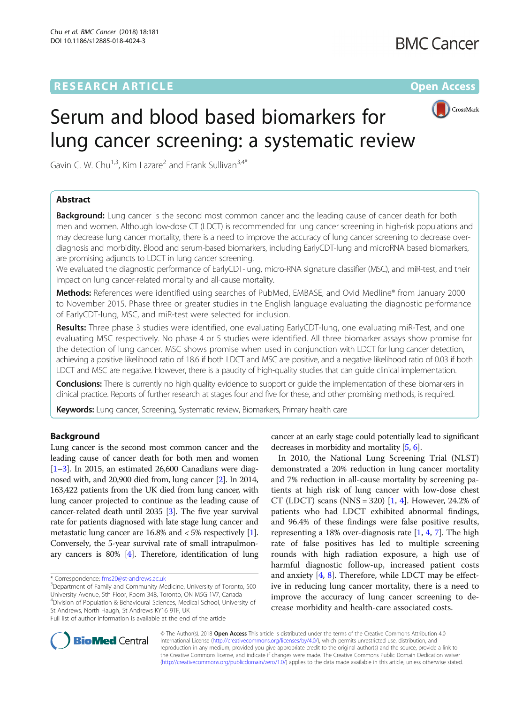# **RESEARCH ARTICLE Example 2014 12:30 The Contract of Contract ACCESS**



# Serum and blood based biomarkers for lung cancer screening: a systematic review

Gavin C. W. Chu<sup>1,3</sup>, Kim Lazare<sup>2</sup> and Frank Sullivan<sup>3,4\*</sup>

# Abstract

**Background:** Lung cancer is the second most common cancer and the leading cause of cancer death for both men and women. Although low-dose CT (LDCT) is recommended for lung cancer screening in high-risk populations and may decrease lung cancer mortality, there is a need to improve the accuracy of lung cancer screening to decrease overdiagnosis and morbidity. Blood and serum-based biomarkers, including EarlyCDT-lung and microRNA based biomarkers, are promising adjuncts to LDCT in lung cancer screening.

We evaluated the diagnostic performance of EarlyCDT-lung, micro-RNA signature classifier (MSC), and miR-test, and their impact on lung cancer-related mortality and all-cause mortality.

Methods: References were identified using searches of PubMed, EMBASE, and Ovid Medline® from January 2000 to November 2015. Phase three or greater studies in the English language evaluating the diagnostic performance of EarlyCDT-lung, MSC, and miR-test were selected for inclusion.

Results: Three phase 3 studies were identified, one evaluating EarlyCDT-lung, one evaluating miR-Test, and one evaluating MSC respectively. No phase 4 or 5 studies were identified. All three biomarker assays show promise for the detection of lung cancer. MSC shows promise when used in conjunction with LDCT for lung cancer detection, achieving a positive likelihood ratio of 18.6 if both LDCT and MSC are positive, and a negative likelihood ratio of 0.03 if both LDCT and MSC are negative. However, there is a paucity of high-quality studies that can guide clinical implementation.

Conclusions: There is currently no high quality evidence to support or quide the implementation of these biomarkers in clinical practice. Reports of further research at stages four and five for these, and other promising methods, is required.

Keywords: Lung cancer, Screening, Systematic review, Biomarkers, Primary health care

# Background

Lung cancer is the second most common cancer and the leading cause of cancer death for both men and women  $[1-3]$  $[1-3]$  $[1-3]$  $[1-3]$  $[1-3]$ . In 2015, an estimated 26,600 Canadians were diagnosed with, and 20,900 died from, lung cancer [[2](#page-5-0)]. In 2014, 163,422 patients from the UK died from lung cancer, with lung cancer projected to continue as the leading cause of cancer-related death until 2035 [[3](#page-5-0)]. The five year survival rate for patients diagnosed with late stage lung cancer and metastatic lung cancer are 16.8% and < 5% respectively [[1](#page-5-0)]. Conversely, the 5-year survival rate of small intrapulmonary cancers is 80% [\[4\]](#page-5-0). Therefore, identification of lung

 $3$ Department of Family and Community Medicine, University of Toronto, 500 University Avenue, 5th Floor, Room 348, Toronto, ON M5G 1V7, Canada 4 Division of Population & Behavioural Sciences, Medical School, University of St Andrews, North Haugh, St Andrews KY16 9TF, UK

cancer at an early stage could potentially lead to significant decreases in morbidity and mortality [\[5,](#page-5-0) [6](#page-5-0)].

In 2010, the National Lung Screening Trial (NLST) demonstrated a 20% reduction in lung cancer mortality and 7% reduction in all-cause mortality by screening patients at high risk of lung cancer with low-dose chest CT (LDCT) scans (NNS = 320)  $[1, 4]$  $[1, 4]$  $[1, 4]$  $[1, 4]$  $[1, 4]$ . However, 24.2% of patients who had LDCT exhibited abnormal findings, and 96.4% of these findings were false positive results, representing a 18% over-diagnosis rate [[1](#page-5-0), [4](#page-5-0), [7](#page-5-0)]. The high rate of false positives has led to multiple screening rounds with high radiation exposure, a high use of harmful diagnostic follow-up, increased patient costs and anxiety  $[4, 8]$  $[4, 8]$  $[4, 8]$ . Therefore, while LDCT may be effective in reducing lung cancer mortality, there is a need to improve the accuracy of lung cancer screening to decrease morbidity and health-care associated costs.



© The Author(s). 2018 Open Access This article is distributed under the terms of the Creative Commons Attribution 4.0 International License [\(http://creativecommons.org/licenses/by/4.0/](http://creativecommons.org/licenses/by/4.0/)), which permits unrestricted use, distribution, and reproduction in any medium, provided you give appropriate credit to the original author(s) and the source, provide a link to the Creative Commons license, and indicate if changes were made. The Creative Commons Public Domain Dedication waiver [\(http://creativecommons.org/publicdomain/zero/1.0/](http://creativecommons.org/publicdomain/zero/1.0/)) applies to the data made available in this article, unless otherwise stated.

<sup>\*</sup> Correspondence: [fms20@st-andrews.ac.uk](mailto:fms20@st-andrews.ac.uk) <sup>3</sup>

Full list of author information is available at the end of the article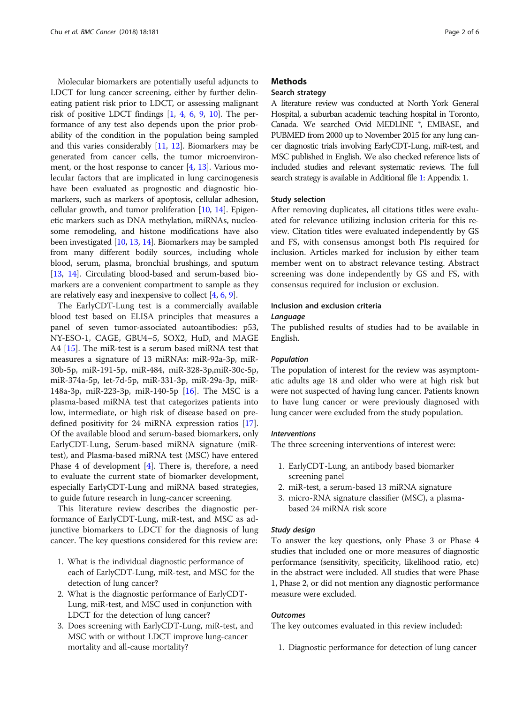Molecular biomarkers are potentially useful adjuncts to LDCT for lung cancer screening, either by further delineating patient risk prior to LDCT, or assessing malignant risk of positive LDCT findings  $[1, 4, 6, 9, 10]$  $[1, 4, 6, 9, 10]$  $[1, 4, 6, 9, 10]$  $[1, 4, 6, 9, 10]$  $[1, 4, 6, 9, 10]$  $[1, 4, 6, 9, 10]$  $[1, 4, 6, 9, 10]$  $[1, 4, 6, 9, 10]$  $[1, 4, 6, 9, 10]$  $[1, 4, 6, 9, 10]$ . The performance of any test also depends upon the prior probability of the condition in the population being sampled and this varies considerably [\[11,](#page-5-0) [12](#page-5-0)]. Biomarkers may be generated from cancer cells, the tumor microenvironment, or the host response to cancer [\[4](#page-5-0), [13](#page-5-0)]. Various molecular factors that are implicated in lung carcinogenesis have been evaluated as prognostic and diagnostic biomarkers, such as markers of apoptosis, cellular adhesion, cellular growth, and tumor proliferation [\[10,](#page-5-0) [14](#page-5-0)]. Epigenetic markers such as DNA methylation, miRNAs, nucleosome remodeling, and histone modifications have also been investigated [\[10,](#page-5-0) [13](#page-5-0), [14\]](#page-5-0). Biomarkers may be sampled from many different bodily sources, including whole blood, serum, plasma, bronchial brushings, and sputum [[13](#page-5-0), [14\]](#page-5-0). Circulating blood-based and serum-based biomarkers are a convenient compartment to sample as they are relatively easy and inexpensive to collect [\[4](#page-5-0), [6,](#page-5-0) [9](#page-5-0)].

The EarlyCDT-Lung test is a commercially available blood test based on ELISA principles that measures a panel of seven tumor-associated autoantibodies: p53, NY-ESO-1, CAGE, GBU4–5, SOX2, HuD, and MAGE A4 [[15\]](#page-5-0). The miR-test is a serum based miRNA test that measures a signature of 13 miRNAs: miR-92a-3p, miR-30b-5p, miR-191-5p, miR-484, miR-328-3p,miR-30c-5p, miR-374a-5p, let-7d-5p, miR-331-3p, miR-29a-3p, miR-148a-3p, miR-223-3p, miR-140-5p [[16](#page-5-0)]. The MSC is a plasma-based miRNA test that categorizes patients into low, intermediate, or high risk of disease based on predefined positivity for 24 miRNA expression ratios [\[17](#page-5-0)]. Of the available blood and serum-based biomarkers, only EarlyCDT-Lung, Serum-based miRNA signature (miRtest), and Plasma-based miRNA test (MSC) have entered Phase 4 of development [[4\]](#page-5-0). There is, therefore, a need to evaluate the current state of biomarker development, especially EarlyCDT-Lung and miRNA based strategies, to guide future research in lung-cancer screening.

This literature review describes the diagnostic performance of EarlyCDT-Lung, miR-test, and MSC as adjunctive biomarkers to LDCT for the diagnosis of lung cancer. The key questions considered for this review are:

- 1. What is the individual diagnostic performance of each of EarlyCDT-Lung, miR-test, and MSC for the detection of lung cancer?
- 2. What is the diagnostic performance of EarlyCDT-Lung, miR-test, and MSC used in conjunction with LDCT for the detection of lung cancer?
- 3. Does screening with EarlyCDT-Lung, miR-test, and MSC with or without LDCT improve lung-cancer mortality and all-cause mortality?

# **Methods**

# Search strategy

A literature review was conducted at North York General Hospital, a suburban academic teaching hospital in Toronto, Canada. We searched Ovid MEDLINE ®, EMBASE, and PUBMED from 2000 up to November 2015 for any lung cancer diagnostic trials involving EarlyCDT-Lung, miR-test, and MSC published in English. We also checked reference lists of included studies and relevant systematic reviews. The full search strategy is available in Additional file [1:](#page-5-0) Appendix 1.

#### Study selection

After removing duplicates, all citations titles were evaluated for relevance utilizing inclusion criteria for this review. Citation titles were evaluated independently by GS and FS, with consensus amongst both PIs required for inclusion. Articles marked for inclusion by either team member went on to abstract relevance testing. Abstract screening was done independently by GS and FS, with consensus required for inclusion or exclusion.

# Inclusion and exclusion criteria

# Language

The published results of studies had to be available in English.

#### Population

The population of interest for the review was asymptomatic adults age 18 and older who were at high risk but were not suspected of having lung cancer. Patients known to have lung cancer or were previously diagnosed with lung cancer were excluded from the study population.

#### Interventions

The three screening interventions of interest were:

- 1. EarlyCDT-Lung, an antibody based biomarker screening panel
- 2. miR-test, a serum-based 13 miRNA signature
- 3. micro-RNA signature classifier (MSC), a plasmabased 24 miRNA risk score

#### Study design

To answer the key questions, only Phase 3 or Phase 4 studies that included one or more measures of diagnostic performance (sensitivity, specificity, likelihood ratio, etc) in the abstract were included. All studies that were Phase 1, Phase 2, or did not mention any diagnostic performance measure were excluded.

# **Outcomes**

The key outcomes evaluated in this review included:

1. Diagnostic performance for detection of lung cancer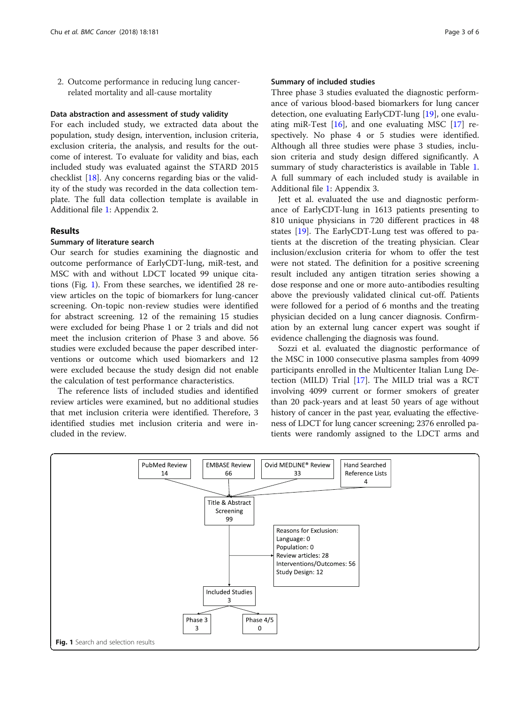2. Outcome performance in reducing lung cancerrelated mortality and all-cause mortality

# Data abstraction and assessment of study validity

For each included study, we extracted data about the population, study design, intervention, inclusion criteria, exclusion criteria, the analysis, and results for the outcome of interest. To evaluate for validity and bias, each included study was evaluated against the STARD 2015 checklist [[18\]](#page-5-0). Any concerns regarding bias or the validity of the study was recorded in the data collection template. The full data collection template is available in Additional file [1](#page-5-0): Appendix 2.

# **Results**

# Summary of literature search

Our search for studies examining the diagnostic and outcome performance of EarlyCDT-lung, miR-test, and MSC with and without LDCT located 99 unique citations (Fig. 1). From these searches, we identified 28 review articles on the topic of biomarkers for lung-cancer screening. On-topic non-review studies were identified for abstract screening. 12 of the remaining 15 studies were excluded for being Phase 1 or 2 trials and did not meet the inclusion criterion of Phase 3 and above. 56 studies were excluded because the paper described interventions or outcome which used biomarkers and 12 were excluded because the study design did not enable the calculation of test performance characteristics.

The reference lists of included studies and identified review articles were examined, but no additional studies that met inclusion criteria were identified. Therefore, 3 identified studies met inclusion criteria and were included in the review.

## Summary of included studies

Three phase 3 studies evaluated the diagnostic performance of various blood-based biomarkers for lung cancer detection, one evaluating EarlyCDT-lung [[19\]](#page-5-0), one evaluating miR-Test [\[16](#page-5-0)], and one evaluating MSC [\[17](#page-5-0)] respectively. No phase 4 or 5 studies were identified. Although all three studies were phase 3 studies, inclusion criteria and study design differed significantly. A summary of study characteristics is available in Table [1](#page-3-0). A full summary of each included study is available in Additional file [1](#page-5-0): Appendix 3.

Jett et al. evaluated the use and diagnostic performance of EarlyCDT-lung in 1613 patients presenting to 810 unique physicians in 720 different practices in 48 states [[19](#page-5-0)]. The EarlyCDT-Lung test was offered to patients at the discretion of the treating physician. Clear inclusion/exclusion criteria for whom to offer the test were not stated. The definition for a positive screening result included any antigen titration series showing a dose response and one or more auto-antibodies resulting above the previously validated clinical cut-off. Patients were followed for a period of 6 months and the treating physician decided on a lung cancer diagnosis. Confirmation by an external lung cancer expert was sought if evidence challenging the diagnosis was found.

Sozzi et al. evaluated the diagnostic performance of the MSC in 1000 consecutive plasma samples from 4099 participants enrolled in the Multicenter Italian Lung Detection (MILD) Trial [[17](#page-5-0)]. The MILD trial was a RCT involving 4099 current or former smokers of greater than 20 pack-years and at least 50 years of age without history of cancer in the past year, evaluating the effectiveness of LDCT for lung cancer screening; 2376 enrolled patients were randomly assigned to the LDCT arms and

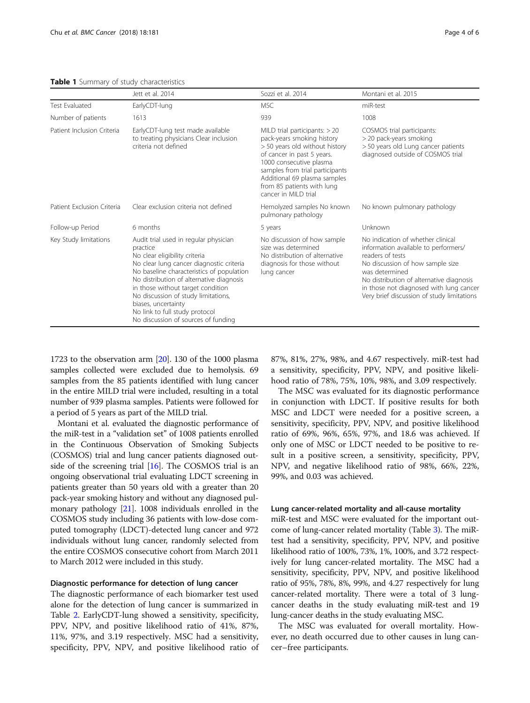<span id="page-3-0"></span>Table 1 Summary of study characteristics

|                            | Jett et al. 2014                                                                                                                                                                                                                                                                                                                                                                                    | Sozzi et al. 2014                                                                                                                                                                                                                                                                  | Montani et al. 2015                                                                                                                                                                                                                                                                      |
|----------------------------|-----------------------------------------------------------------------------------------------------------------------------------------------------------------------------------------------------------------------------------------------------------------------------------------------------------------------------------------------------------------------------------------------------|------------------------------------------------------------------------------------------------------------------------------------------------------------------------------------------------------------------------------------------------------------------------------------|------------------------------------------------------------------------------------------------------------------------------------------------------------------------------------------------------------------------------------------------------------------------------------------|
| <b>Test Evaluated</b>      | EarlyCDT-lung                                                                                                                                                                                                                                                                                                                                                                                       | <b>MSC</b>                                                                                                                                                                                                                                                                         | miR-test                                                                                                                                                                                                                                                                                 |
| Number of patients         | 1613                                                                                                                                                                                                                                                                                                                                                                                                | 939                                                                                                                                                                                                                                                                                | 1008                                                                                                                                                                                                                                                                                     |
| Patient Inclusion Criteria | EarlyCDT-lung test made available<br>to treating physicians Clear inclusion<br>criteria not defined                                                                                                                                                                                                                                                                                                 | MILD trial participants: $> 20$<br>pack-years smoking history<br>> 50 years old without history<br>of cancer in past 5 years.<br>1000 consecutive plasma<br>samples from trial participants<br>Additional 69 plasma samples<br>from 85 patients with lung<br>cancer in MII D trial | COSMOS trial participants:<br>> 20 pack-years smoking<br>> 50 years old Lung cancer patients<br>diagnosed outside of COSMOS trial                                                                                                                                                        |
| Patient Exclusion Criteria | Clear exclusion criteria not defined                                                                                                                                                                                                                                                                                                                                                                | Hemolyzed samples No known<br>pulmonary pathology                                                                                                                                                                                                                                  | No known pulmonary pathology                                                                                                                                                                                                                                                             |
| Follow-up Period           | 6 months                                                                                                                                                                                                                                                                                                                                                                                            | 5 years                                                                                                                                                                                                                                                                            | Unknown                                                                                                                                                                                                                                                                                  |
| Key Study limitations      | Audit trial used in regular physician<br>practice<br>No clear eligibility criteria<br>No clear lung cancer diagnostic criteria<br>No baseline characteristics of population<br>No distribution of alternative diagnosis<br>in those without target condition<br>No discussion of study limitations,<br>biases, uncertainty<br>No link to full study protocol<br>No discussion of sources of funding | No discussion of how sample<br>size was determined<br>No distribution of alternative<br>diagnosis for those without<br>lung cancer                                                                                                                                                 | No indication of whether clinical<br>information available to performers/<br>readers of tests<br>No discussion of how sample size<br>was determined<br>No distribution of alternative diagnosis<br>in those not diagnosed with lung cancer<br>Very brief discussion of study limitations |

1723 to the observation arm [[20\]](#page-5-0). 130 of the 1000 plasma samples collected were excluded due to hemolysis. 69 samples from the 85 patients identified with lung cancer

in the entire MILD trial were included, resulting in a total number of 939 plasma samples. Patients were followed for a period of 5 years as part of the MILD trial. Montani et al. evaluated the diagnostic performance of

the miR-test in a "validation set" of 1008 patients enrolled in the Continuous Observation of Smoking Subjects (COSMOS) trial and lung cancer patients diagnosed outside of the screening trial  $[16]$  $[16]$  $[16]$ . The COSMOS trial is an ongoing observational trial evaluating LDCT screening in patients greater than 50 years old with a greater than 20 pack-year smoking history and without any diagnosed pulmonary pathology [\[21](#page-5-0)]. 1008 individuals enrolled in the COSMOS study including 36 patients with low-dose computed tomography (LDCT)-detected lung cancer and 972 individuals without lung cancer, randomly selected from the entire COSMOS consecutive cohort from March 2011 to March 2012 were included in this study.

## Diagnostic performance for detection of lung cancer

The diagnostic performance of each biomarker test used alone for the detection of lung cancer is summarized in Table [2](#page-4-0). EarlyCDT-lung showed a sensitivity, specificity, PPV, NPV, and positive likelihood ratio of 41%, 87%, 11%, 97%, and 3.19 respectively. MSC had a sensitivity, specificity, PPV, NPV, and positive likelihood ratio of 87%, 81%, 27%, 98%, and 4.67 respectively. miR-test had a sensitivity, specificity, PPV, NPV, and positive likelihood ratio of 78%, 75%, 10%, 98%, and 3.09 respectively.

The MSC was evaluated for its diagnostic performance in conjunction with LDCT. If positive results for both MSC and LDCT were needed for a positive screen, a sensitivity, specificity, PPV, NPV, and positive likelihood ratio of 69%, 96%, 65%, 97%, and 18.6 was achieved. If only one of MSC or LDCT needed to be positive to result in a positive screen, a sensitivity, specificity, PPV, NPV, and negative likelihood ratio of 98%, 66%, 22%, 99%, and 0.03 was achieved.

# Lung cancer-related mortality and all-cause mortality

miR-test and MSC were evaluated for the important outcome of lung-cancer related mortality (Table [3\)](#page-4-0). The miRtest had a sensitivity, specificity, PPV, NPV, and positive likelihood ratio of 100%, 73%, 1%, 100%, and 3.72 respectively for lung cancer-related mortality. The MSC had a sensitivity, specificity, PPV, NPV, and positive likelihood ratio of 95%, 78%, 8%, 99%, and 4.27 respectively for lung cancer-related mortality. There were a total of 3 lungcancer deaths in the study evaluating miR-test and 19 lung-cancer deaths in the study evaluating MSC.

The MSC was evaluated for overall mortality. However, no death occurred due to other causes in lung cancer–free participants.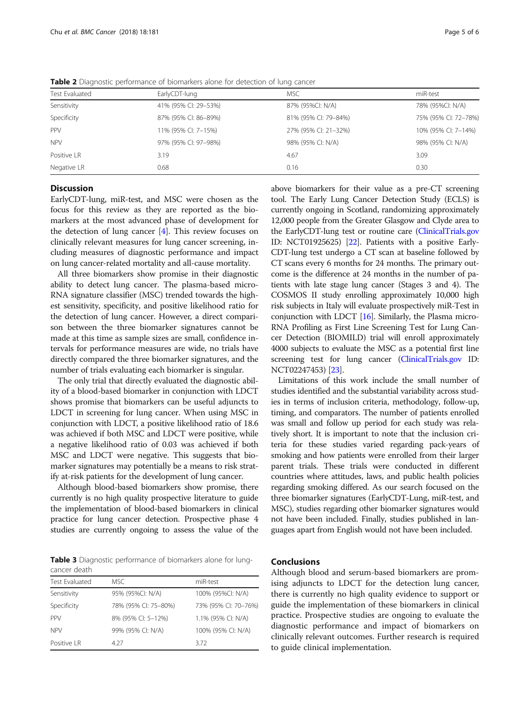| <b>Test Evaluated</b> | EarlyCDT-lung        | <b>MSC</b>           | miR-test             |  |
|-----------------------|----------------------|----------------------|----------------------|--|
| Sensitivity           | 41% (95% CI: 29-53%) | 87% (95%CI: N/A)     | 78% (95%CI: N/A)     |  |
| Specificity           | 87% (95% CI: 86-89%) | 81% (95% CI: 79-84%) | 75% (95% CI: 72-78%) |  |
| PPV                   | 11% (95% CI: 7-15%)  | 27% (95% CI: 21-32%) | 10% (95% CI: 7-14%)  |  |
| <b>NPV</b>            | 97% (95% CI: 97-98%) | 98% (95% CI: N/A)    | 98% (95% CI: N/A)    |  |
| Positive LR           | 3.19                 | 4.67                 | 3.09                 |  |
| Negative LR           | 0.68                 | 0.16                 | 0.30                 |  |
|                       |                      |                      |                      |  |

<span id="page-4-0"></span>Table 2 Diagnostic performance of biomarkers alone for detection of lung cancer

# **Discussion**

EarlyCDT-lung, miR-test, and MSC were chosen as the focus for this review as they are reported as the biomarkers at the most advanced phase of development for the detection of lung cancer  $[4]$  $[4]$ . This review focuses on clinically relevant measures for lung cancer screening, including measures of diagnostic performance and impact on lung cancer-related mortality and all-cause mortality.

All three biomarkers show promise in their diagnostic ability to detect lung cancer. The plasma-based micro-RNA signature classifier (MSC) trended towards the highest sensitivity, specificity, and positive likelihood ratio for the detection of lung cancer. However, a direct comparison between the three biomarker signatures cannot be made at this time as sample sizes are small, confidence intervals for performance measures are wide, no trials have directly compared the three biomarker signatures, and the number of trials evaluating each biomarker is singular.

The only trial that directly evaluated the diagnostic ability of a blood-based biomarker in conjunction with LDCT shows promise that biomarkers can be useful adjuncts to LDCT in screening for lung cancer. When using MSC in conjunction with LDCT, a positive likelihood ratio of 18.6 was achieved if both MSC and LDCT were positive, while a negative likelihood ratio of 0.03 was achieved if both MSC and LDCT were negative. This suggests that biomarker signatures may potentially be a means to risk stratify at-risk patients for the development of lung cancer.

Although blood-based biomarkers show promise, there currently is no high quality prospective literature to guide the implementation of blood-based biomarkers in clinical practice for lung cancer detection. Prospective phase 4 studies are currently ongoing to assess the value of the

Table 3 Diagnostic performance of biomarkers alone for lungcancer death

| <b>Test Evaluated</b> | MSC.                 | miR-test             |
|-----------------------|----------------------|----------------------|
| Sensitivity           | 95% (95%CI: N/A)     | 100% (95%CI: N/A)    |
| Specificity           | 78% (95% CI: 75-80%) | 73% (95% CI: 70-76%) |
| <b>PPV</b>            | 8% (95% CI: 5-12%)   | 1.1% (95% CI: N/A)   |
| <b>NPV</b>            | 99% (95% CI: N/A)    | 100% (95% CI: N/A)   |
| Positive LR           | 4 2 7                | 3.72                 |

above biomarkers for their value as a pre-CT screening tool. The Early Lung Cancer Detection Study (ECLS) is currently ongoing in Scotland, randomizing approximately 12,000 people from the Greater Glasgow and Clyde area to the EarlyCDT-lung test or routine care [\(ClinicalTrials.gov](http://clinicaltrials.gov) ID: NCT01925625) [[22](#page-5-0)]. Patients with a positive Early-CDT-lung test undergo a CT scan at baseline followed by CT scans every 6 months for 24 months. The primary outcome is the difference at 24 months in the number of patients with late stage lung cancer (Stages 3 and 4). The COSMOS II study enrolling approximately 10,000 high risk subjects in Italy will evaluate prospectively miR-Test in conjunction with LDCT [\[16\]](#page-5-0). Similarly, the Plasma micro-RNA Profiling as First Line Screening Test for Lung Cancer Detection (BIOMILD) trial will enroll approximately 4000 subjects to evaluate the MSC as a potential first line screening test for lung cancer ([ClinicalTrials.gov](http://clinicaltrials.gov) ID: NCT02247453) [\[23](#page-5-0)].

Limitations of this work include the small number of studies identified and the substantial variability across studies in terms of inclusion criteria, methodology, follow-up, timing, and comparators. The number of patients enrolled was small and follow up period for each study was relatively short. It is important to note that the inclusion criteria for these studies varied regarding pack-years of smoking and how patients were enrolled from their larger parent trials. These trials were conducted in different countries where attitudes, laws, and public health policies regarding smoking differed. As our search focused on the three biomarker signatures (EarlyCDT-Lung, miR-test, and MSC), studies regarding other biomarker signatures would not have been included. Finally, studies published in languages apart from English would not have been included.

# Conclusions

Although blood and serum-based biomarkers are promising adjuncts to LDCT for the detection lung cancer, there is currently no high quality evidence to support or guide the implementation of these biomarkers in clinical practice. Prospective studies are ongoing to evaluate the diagnostic performance and impact of biomarkers on clinically relevant outcomes. Further research is required to guide clinical implementation.